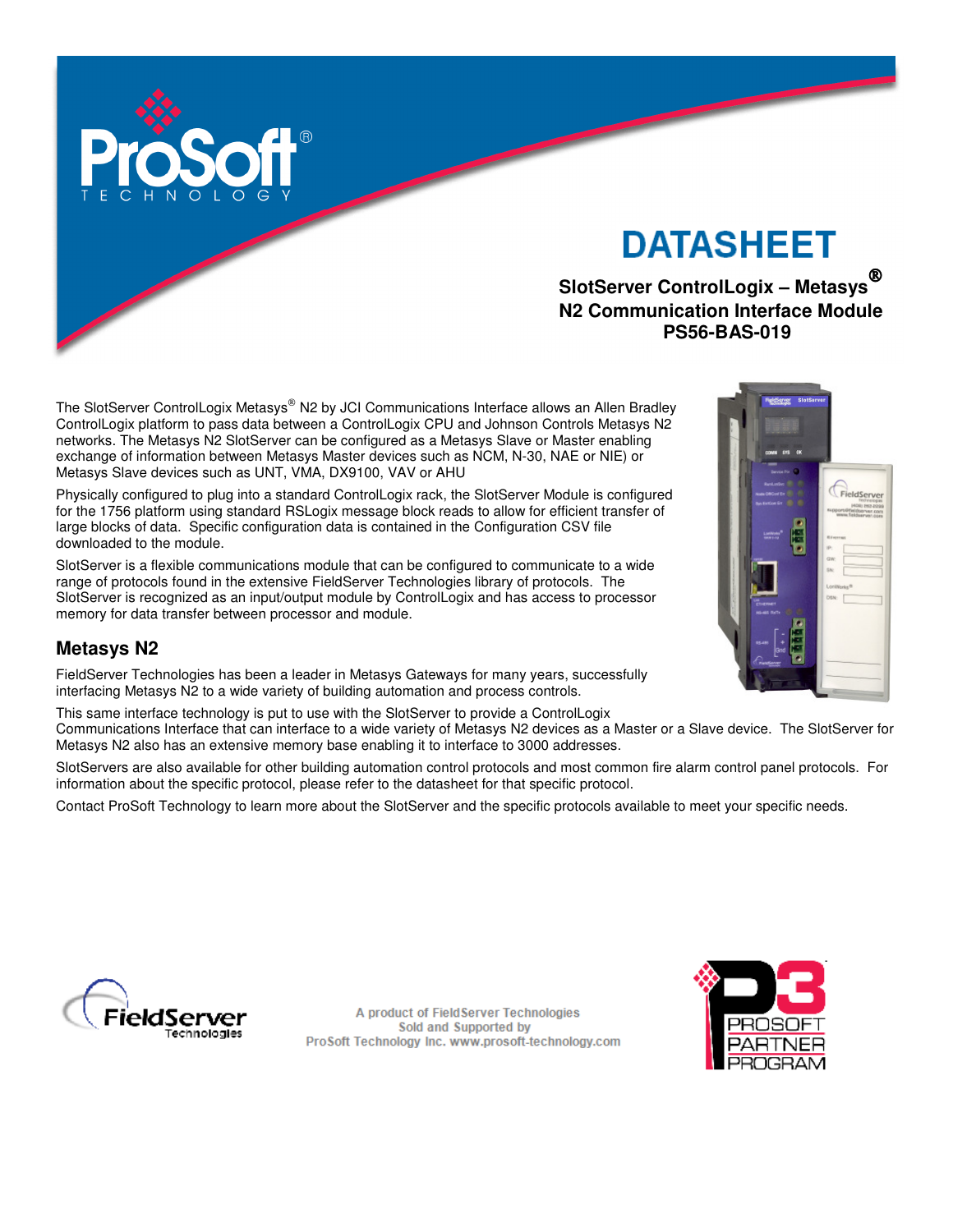

# **DATASHEET**

# **SlotServer ControlLogix – Metasys N2 Communication Interface Module PS56-BAS-019**

The SlotServer ControlLogix Metasys® N2 by JCI Communications Interface allows an Allen Bradley ControlLogix platform to pass data between a ControlLogix CPU and Johnson Controls Metasys N2 networks. The Metasys N2 SlotServer can be configured as a Metasys Slave or Master enabling exchange of information between Metasys Master devices such as NCM, N-30, NAE or NIE) or Metasys Slave devices such as UNT, VMA, DX9100, VAV or AHU

Physically configured to plug into a standard ControlLogix rack, the SlotServer Module is configured for the 1756 platform using standard RSLogix message block reads to allow for efficient transfer of large blocks of data. Specific configuration data is contained in the Configuration CSV file downloaded to the module.

SlotServer is a flexible communications module that can be configured to communicate to a wide range of protocols found in the extensive FieldServer Technologies library of protocols. The SlotServer is recognized as an input/output module by ControlLogix and has access to processor memory for data transfer between processor and module.

# **Metasys N2**

FieldServer Technologies has been a leader in Metasys Gateways for many years, successfully interfacing Metasys N2 to a wide variety of building automation and process controls.

This same interface technology is put to use with the SlotServer to provide a ControlLogix Communications Interface that can interface to a wide variety of Metasys N2 devices as a Master or a Slave device. The SlotServer for Metasys N2 also has an extensive memory base enabling it to interface to 3000 addresses.

SlotServers are also available for other building automation control protocols and most common fire alarm control panel protocols. For information about the specific protocol, please refer to the datasheet for that specific protocol.

Contact ProSoft Technology to learn more about the SlotServer and the specific protocols available to meet your specific needs.



A product of FieldServer Technologies Sold and Supported by ProSoft Technology Inc. www.prosoft-technology.com